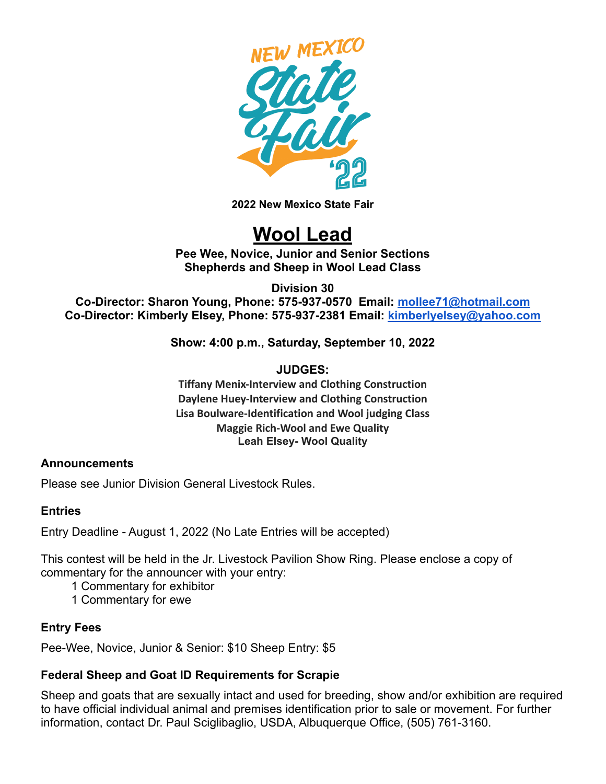

**2022 New Mexico State Fair**

# **Wool Lead**

**Pee Wee, Novice, Junior and Senior Sections Shepherds and Sheep in Wool Lead Class**

**Division 30**

**Co-Director: Sharon Young, Phone: 575-937-0570 Email: [mollee71@hotmail.com](mailto:mollee71@hotmail.com) Co-Director: Kimberly Elsey, Phone: 575-937-2381 Email: [kimberlyelsey@yahoo.com](mailto:kimberlyelsey@yahoo.com)**

**Show: 4:00 p.m., Saturday, September 10, 2022**

**JUDGES:**

**Tiffany Menix-Interview and Clothing Construction Daylene Huey-Interview and Clothing Construction Lisa Boulware-Identification and Wool judging Class Maggie Rich-Wool and Ewe Quality Leah Elsey- Wool Quality**

# **Announcements**

Please see Junior Division General Livestock Rules.

# **Entries**

Entry Deadline - August 1, 2022 (No Late Entries will be accepted)

This contest will be held in the Jr. Livestock Pavilion Show Ring. Please enclose a copy of commentary for the announcer with your entry:

- 1 Commentary for exhibitor
- 1 Commentary for ewe

# **Entry Fees**

Pee-Wee, Novice, Junior & Senior: \$10 Sheep Entry: \$5

# **Federal Sheep and Goat ID Requirements for Scrapie**

Sheep and goats that are sexually intact and used for breeding, show and/or exhibition are required to have official individual animal and premises identification prior to sale or movement. For further information, contact Dr. Paul Sciglibaglio, USDA, Albuquerque Office, (505) 761-3160.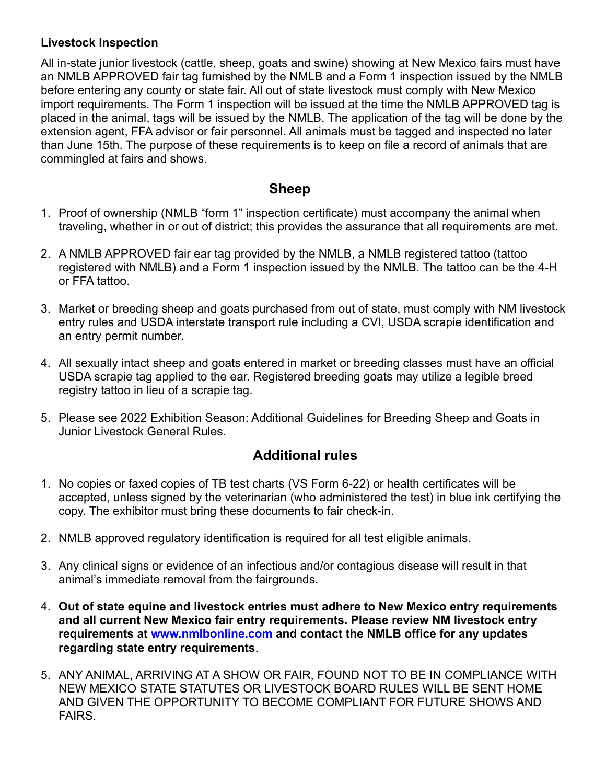# **Livestock Inspection**

All in-state junior livestock (cattle, sheep, goats and swine) showing at New Mexico fairs must have an NMLB APPROVED fair tag furnished by the NMLB and a Form 1 inspection issued by the NMLB before entering any county or state fair. All out of state livestock must comply with New Mexico import requirements. The Form 1 inspection will be issued at the time the NMLB APPROVED tag is placed in the animal, tags will be issued by the NMLB. The application of the tag will be done by the extension agent, FFA advisor or fair personnel. All animals must be tagged and inspected no later than June 15th. The purpose of these requirements is to keep on file a record of animals that are commingled at fairs and shows.

# **Sheep**

- 1. Proof of ownership (NMLB "form 1" inspection certificate) must accompany the animal when traveling, whether in or out of district; this provides the assurance that all requirements are met.
- 2. A NMLB APPROVED fair ear tag provided by the NMLB, a NMLB registered tattoo (tattoo registered with NMLB) and a Form 1 inspection issued by the NMLB. The tattoo can be the 4-H or FFA tattoo.
- 3. Market or breeding sheep and goats purchased from out of state, must comply with NM livestock entry rules and USDA interstate transport rule including a CVI, USDA scrapie identification and an entry permit number.
- 4. All sexually intact sheep and goats entered in market or breeding classes must have an official USDA scrapie tag applied to the ear. Registered breeding goats may utilize a legible breed registry tattoo in lieu of a scrapie tag.
- 5. Please see 2022 Exhibition Season: Additional Guidelines for Breeding Sheep and Goats in Junior Livestock General Rules.

# **Additional rules**

- 1. No copies or faxed copies of TB test charts (VS Form 6-22) or health certificates will be accepted, unless signed by the veterinarian (who administered the test) in blue ink certifying the copy. The exhibitor must bring these documents to fair check-in.
- 2. NMLB approved regulatory identification is required for all test eligible animals.
- 3. Any clinical signs or evidence of an infectious and/or contagious disease will result in that animal's immediate removal from the fairgrounds.
- 4. **Out of state equine and livestock entries must adhere to New Mexico entry requirements and all current New Mexico fair entry requirements. Please review NM livestock entry requirements at [www.nmlbonline.com](http://www.nmlbonline.com/) and contact the NMLB office for any updates regarding state entry requirements**.
- 5. ANY ANIMAL, ARRIVING AT A SHOW OR FAIR, FOUND NOT TO BE IN COMPLIANCE WITH NEW MEXICO STATE STATUTES OR LIVESTOCK BOARD RULES WILL BE SENT HOME AND GIVEN THE OPPORTUNITY TO BECOME COMPLIANT FOR FUTURE SHOWS AND FAIRS.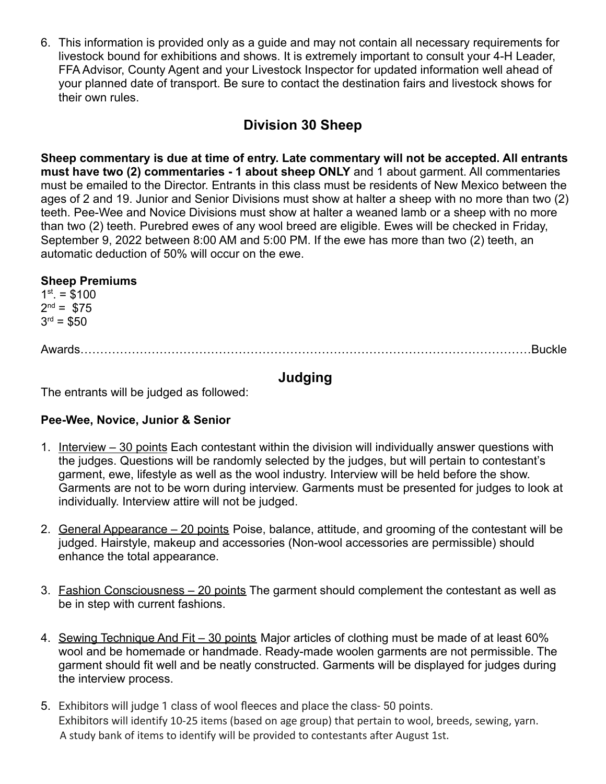6. This information is provided only as a guide and may not contain all necessary requirements for livestock bound for exhibitions and shows. It is extremely important to consult your 4-H Leader, FFA Advisor, County Agent and your Livestock Inspector for updated information well ahead of your planned date of transport. Be sure to contact the destination fairs and livestock shows for their own rules.

# **Division 30 Sheep**

**Sheep commentary is due at time of entry. Late commentary will not be accepted. All entrants must have two (2) commentaries - 1 about sheep ONLY** and 1 about garment. All commentaries must be emailed to the Director. Entrants in this class must be residents of New Mexico between the ages of 2 and 19. Junior and Senior Divisions must show at halter a sheep with no more than two (2) teeth. Pee-Wee and Novice Divisions must show at halter a weaned lamb or a sheep with no more than two (2) teeth. Purebred ewes of any wool breed are eligible. Ewes will be checked in Friday, September 9, 2022 between 8:00 AM and 5:00 PM. If the ewe has more than two (2) teeth, an automatic deduction of 50% will occur on the ewe.

# **Sheep Premiums**

 $1<sup>st</sup> = $100$  $2^{nd} = $75$  $3<sup>rd</sup> = $50$ 

Awards……………………………………………………………………………………………………Buckle

# **Judging**

The entrants will be judged as followed:

# **Pee-Wee, Novice, Junior & Senior**

- 1. Interview 30 points Each contestant within the division will individually answer questions with the judges. Questions will be randomly selected by the judges, but will pertain to contestant's garment, ewe, lifestyle as well as the wool industry. Interview will be held before the show. Garments are not to be worn during interview. Garments must be presented for judges to look at individually. Interview attire will not be judged.
- 2. General Appearance 20 points Poise, balance, attitude, and grooming of the contestant will be judged. Hairstyle, makeup and accessories (Non-wool accessories are permissible) should enhance the total appearance.
- 3. Fashion Consciousness 20 points The garment should complement the contestant as well as be in step with current fashions.
- 4. Sewing Technique And Fit 30 points Major articles of clothing must be made of at least 60% wool and be homemade or handmade. Ready-made woolen garments are not permissible. The garment should fit well and be neatly constructed. Garments will be displayed for judges during the interview process.
- 5. Exhibitors will judge 1 class of wool fleeces and place the class- 50 points. Exhibitors will identify 10-25 items (based on age group) that pertain to wool, breeds, sewing, yarn. A study bank of items to identify will be provided to contestants after August 1st.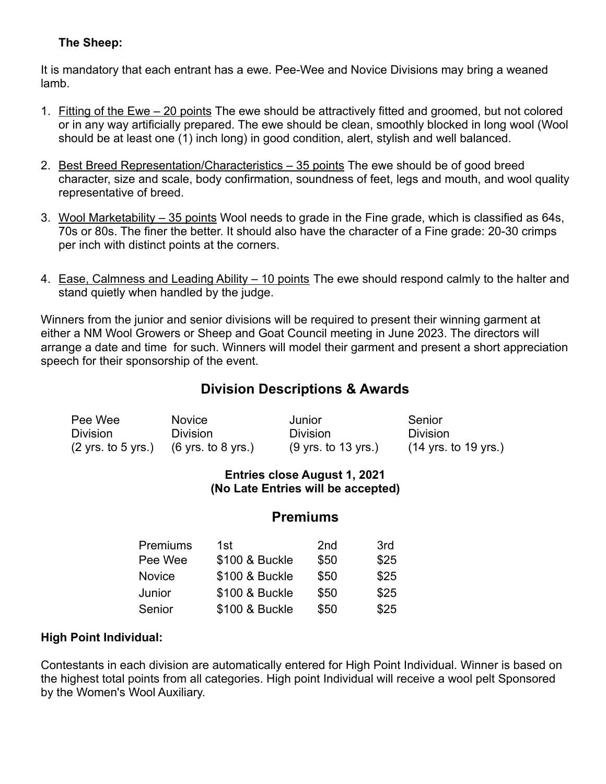# **The Sheep:**

It is mandatory that each entrant has a ewe. Pee-Wee and Novice Divisions may bring a weaned lamb.

- 1. Fitting of the Ewe 20 points The ewe should be attractively fitted and groomed, but not colored or in any way artificially prepared. The ewe should be clean, smoothly blocked in long wool (Wool should be at least one (1) inch long) in good condition, alert, stylish and well balanced.
- 2. Best Breed Representation/Characteristics 35 points The ewe should be of good breed character, size and scale, body confirmation, soundness of feet, legs and mouth, and wool quality representative of breed.
- 3. Wool Marketability 35 points Wool needs to grade in the Fine grade, which is classified as 64s, 70s or 80s. The finer the better. It should also have the character of a Fine grade: 20-30 crimps per inch with distinct points at the corners.
- 4. Ease, Calmness and Leading Ability 10 points The ewe should respond calmly to the halter and stand quietly when handled by the judge.

Winners from the junior and senior divisions will be required to present their winning garment at either a NM Wool Growers or Sheep and Goat Council meeting in June 2023. The directors will arrange a date and time for such. Winners will model their garment and present a short appreciation speech for their sponsorship of the event.

# **Division Descriptions & Awards**

| Pee Wee                               | <b>Novice</b>                         | Junior                                 | Senior               |
|---------------------------------------|---------------------------------------|----------------------------------------|----------------------|
| <b>Division</b>                       | <b>Division</b>                       | <b>Division</b>                        | <b>Division</b>      |
| $(2 \text{ yrs. to } 5 \text{ yrs.})$ | $(6 \text{ yrs. to } 8 \text{ yrs.})$ | $(9 \text{ yrs. to } 13 \text{ yrs.})$ | (14 yrs. to 19 yrs.) |

#### **Entries close August 1, 2021 (No Late Entries will be accepted)**

# **Premiums**

| Premiums | 1st            | 2 <sub>nd</sub> | 3rd  |
|----------|----------------|-----------------|------|
| Pee Wee  | \$100 & Buckle | \$50            | \$25 |
| Novice   | \$100 & Buckle | \$50            | \$25 |
| Junior   | \$100 & Buckle | \$50            | \$25 |
| Senior   | \$100 & Buckle | \$50            | \$25 |

# **High Point Individual:**

Contestants in each division are automatically entered for High Point Individual. Winner is based on the highest total points from all categories. High point Individual will receive a wool pelt Sponsored by the Women's Wool Auxiliary.